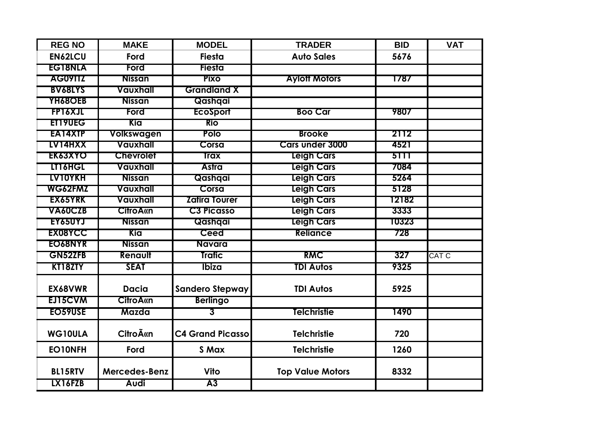| <b>REG NO</b>  | <b>MAKE</b>      | <b>MODEL</b>            | <b>TRADER</b>           | <b>BID</b> | <b>VAT</b>   |
|----------------|------------------|-------------------------|-------------------------|------------|--------------|
| <b>EN62LCU</b> | Ford             | <b>Fiesta</b>           | <b>Auto Sales</b>       | 5676       |              |
| <b>EG18NLA</b> | Ford             | <b>Fiesta</b>           |                         |            |              |
| AG09TTZ        | <b>Nissan</b>    | <b>Pixo</b>             | <b>Aylott Motors</b>    | 1787       |              |
| <b>BV68LYS</b> | Vauxhall         | <b>Grandland X</b>      |                         |            |              |
| <b>YH68OEB</b> | <b>Nissan</b>    | Qashqai                 |                         |            |              |
| <b>FP16XJL</b> | Ford             | <b>EcoSport</b>         | <b>Boo Car</b>          | 9807       |              |
| ET19UEG        | Kia              | <b>Rio</b>              |                         |            |              |
| EA14XTP        | Volkswagen       | <b>Polo</b>             | <b>Brooke</b>           | 2112       |              |
| LV14HXX        | Vauxhall         | Corsa                   | <b>Cars under 3000</b>  | 4521       |              |
| <b>EK63XYO</b> | <b>Chevrolet</b> | <b>Trax</b>             | <b>Leigh Cars</b>       | 5111       |              |
| LT16HGL        | Vauxhall         | <b>Astra</b>            | <b>Leigh Cars</b>       | 7084       |              |
| <b>LV10YKH</b> | <b>Nissan</b>    | Qashqai                 | <b>Leigh Cars</b>       | 5264       |              |
| WG62FMZ        | Vauxhall         | Corsa                   | <b>Leigh Cars</b>       | 5128       |              |
| EX65YRK        | Vauxhall         | <b>Zafira Tourer</b>    | <b>Leigh Cars</b>       | 12182      |              |
| VA60CZB        | <b>CitroAkn</b>  | <b>C3 Picasso</b>       | <b>Leigh Cars</b>       | 3333       |              |
| EY65UYJ        | <b>Nissan</b>    | Qashqai                 | <b>Leigh Cars</b>       | 10323      |              |
| <b>EX08YCC</b> | Kia              | Ceed                    | <b>Reliance</b>         | 728        |              |
| EO68NYR        | <b>Nissan</b>    | Navara                  |                         |            |              |
| <b>GN52ZFB</b> | Renault          | <b>Trafic</b>           | <b>RMC</b>              | 327        | <b>CAT C</b> |
| KT18ZTY        | <b>SEAT</b>      | Ibiza                   | <b>TDI Autos</b>        | 9325       |              |
| EX68VWR        | <b>Dacia</b>     | <b>Sandero Stepway</b>  | <b>TDI Autos</b>        | 5925       |              |
| EJ15CVM        | <b>CitroA«n</b>  | <b>Berlingo</b>         |                         |            |              |
| EO59USE        | Mazda            | 3                       | Telchristie             | 1490       |              |
| WG10ULA        | <b>Citro īn</b>  | <b>C4 Grand Picasso</b> | <b>Telchristie</b>      | 720        |              |
| EO10NFH        | Ford             | S Max                   | <b>Telchristie</b>      | 1260       |              |
| <b>BL15RTV</b> | Mercedes-Benz    | Vito                    | <b>Top Value Motors</b> | 8332       |              |
| LX16FZB        | <b>Audi</b>      | A3                      |                         |            |              |